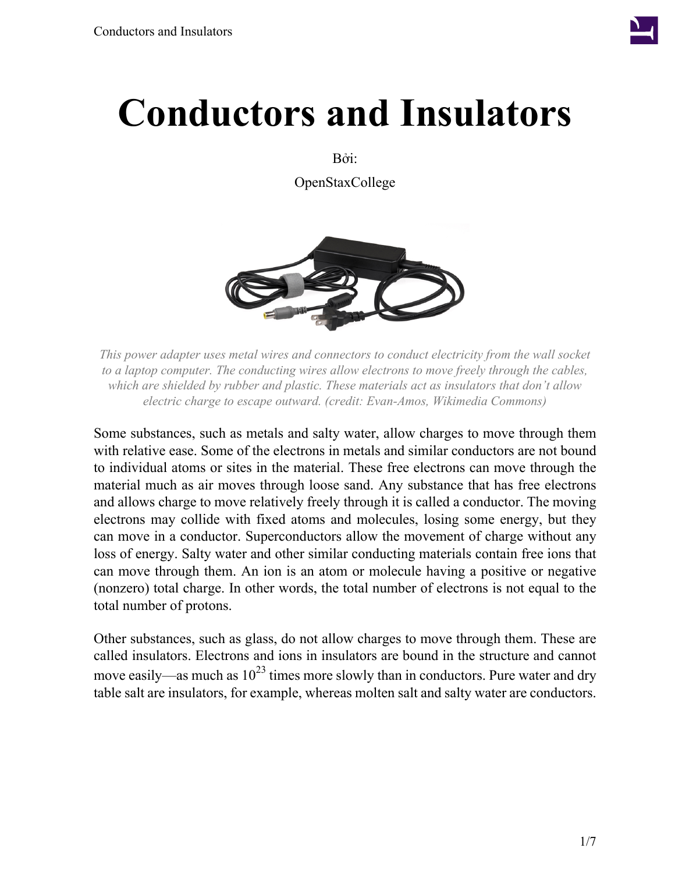

# **Conductors and Insulators**

Bởi:

OpenStaxCollege



*This power adapter uses metal wires and connectors to conduct electricity from the wall socket to a laptop computer. The conducting wires allow electrons to move freely through the cables, which are shielded by rubber and plastic. These materials act as insulators that don't allow electric charge to escape outward. (credit: Evan-Amos, Wikimedia Commons)*

Some substances, such as metals and salty water, allow charges to move through them with relative ease. Some of the electrons in metals and similar conductors are not bound to individual atoms or sites in the material. These free electrons can move through the material much as air moves through loose sand. Any substance that has free electrons and allows charge to move relatively freely through it is called a conductor. The moving electrons may collide with fixed atoms and molecules, losing some energy, but they can move in a conductor. Superconductors allow the movement of charge without any loss of energy. Salty water and other similar conducting materials contain free ions that can move through them. An ion is an atom or molecule having a positive or negative (nonzero) total charge. In other words, the total number of electrons is not equal to the total number of protons.

Other substances, such as glass, do not allow charges to move through them. These are called insulators. Electrons and ions in insulators are bound in the structure and cannot move easily—as much as  $10^{23}$  times more slowly than in conductors. Pure water and dry table salt are insulators, for example, whereas molten salt and salty water are conductors.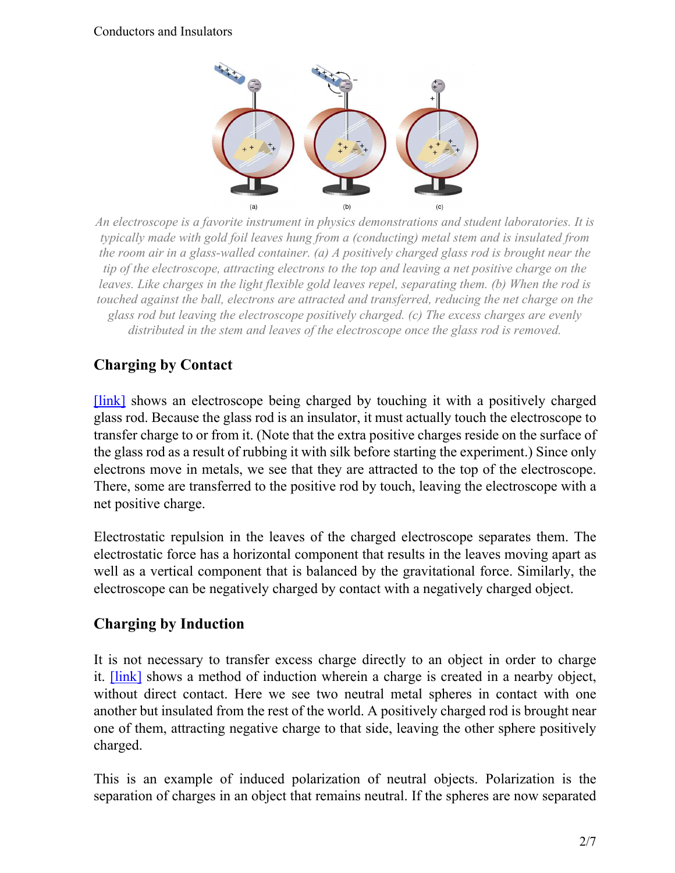

<span id="page-1-0"></span>*An electroscope is a favorite instrument in physics demonstrations and student laboratories. It is typically made with gold foil leaves hung from a (conducting) metal stem and is insulated from the room air in a glass-walled container. (a) A positively charged glass rod is brought near the tip of the electroscope, attracting electrons to the top and leaving a net positive charge on the leaves. Like charges in the light flexible gold leaves repel, separating them. (b) When the rod is touched against the ball, electrons are attracted and transferred, reducing the net charge on the glass rod but leaving the electroscope positively charged. (c) The excess charges are evenly distributed in the stem and leaves of the electroscope once the glass rod is removed.*

# **Charging by Contact**

[\[link\]](#page-1-0) shows an electroscope being charged by touching it with a positively charged glass rod. Because the glass rod is an insulator, it must actually touch the electroscope to transfer charge to or from it. (Note that the extra positive charges reside on the surface of the glass rod as a result of rubbing it with silk before starting the experiment.) Since only electrons move in metals, we see that they are attracted to the top of the electroscope. There, some are transferred to the positive rod by touch, leaving the electroscope with a net positive charge.

Electrostatic repulsion in the leaves of the charged electroscope separates them. The electrostatic force has a horizontal component that results in the leaves moving apart as well as a vertical component that is balanced by the gravitational force. Similarly, the electroscope can be negatively charged by contact with a negatively charged object.

## **Charging by Induction**

It is not necessary to transfer excess charge directly to an object in order to charge it. [\[link\]](#page-2-0) shows a method of induction wherein a charge is created in a nearby object, without direct contact. Here we see two neutral metal spheres in contact with one another but insulated from the rest of the world. A positively charged rod is brought near one of them, attracting negative charge to that side, leaving the other sphere positively charged.

This is an example of induced polarization of neutral objects. Polarization is the separation of charges in an object that remains neutral. If the spheres are now separated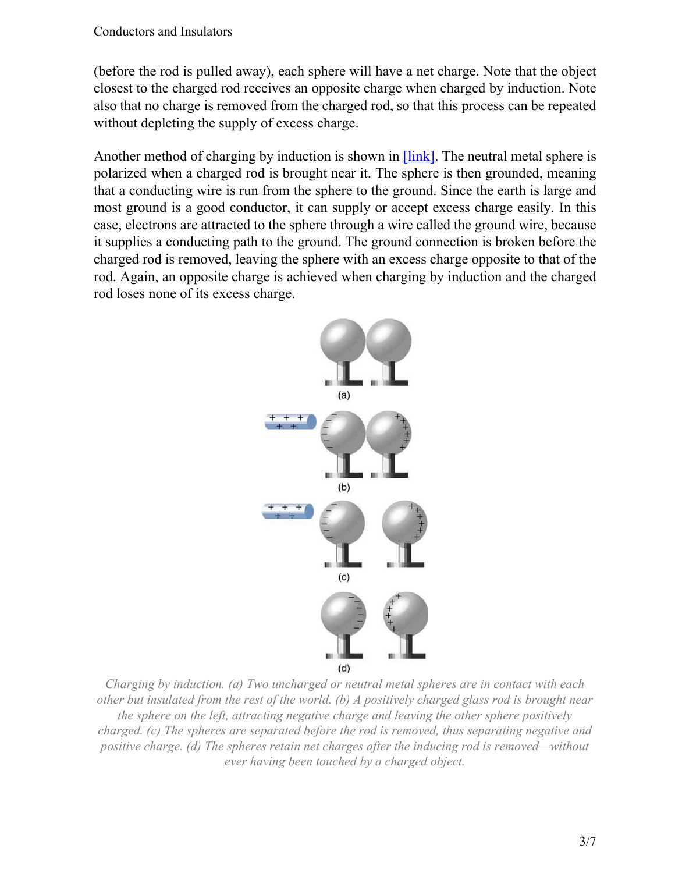(before the rod is pulled away), each sphere will have a net charge. Note that the object closest to the charged rod receives an opposite charge when charged by induction. Note also that no charge is removed from the charged rod, so that this process can be repeated without depleting the supply of excess charge.

<span id="page-2-0"></span>Another method of charging by induction is shown in [\[link\].](#page-3-0) The neutral metal sphere is polarized when a charged rod is brought near it. The sphere is then grounded, meaning that a conducting wire is run from the sphere to the ground. Since the earth is large and most ground is a good conductor, it can supply or accept excess charge easily. In this case, electrons are attracted to the sphere through a wire called the ground wire, because it supplies a conducting path to the ground. The ground connection is broken before the charged rod is removed, leaving the sphere with an excess charge opposite to that of the rod. Again, an opposite charge is achieved when charging by induction and the charged rod loses none of its excess charge.



*Charging by induction. (a) Two uncharged or neutral metal spheres are in contact with each other but insulated from the rest of the world. (b) A positively charged glass rod is brought near the sphere on the left, attracting negative charge and leaving the other sphere positively charged. (c) The spheres are separated before the rod is removed, thus separating negative and positive charge. (d) The spheres retain net charges after the inducing rod is removed—without ever having been touched by a charged object.*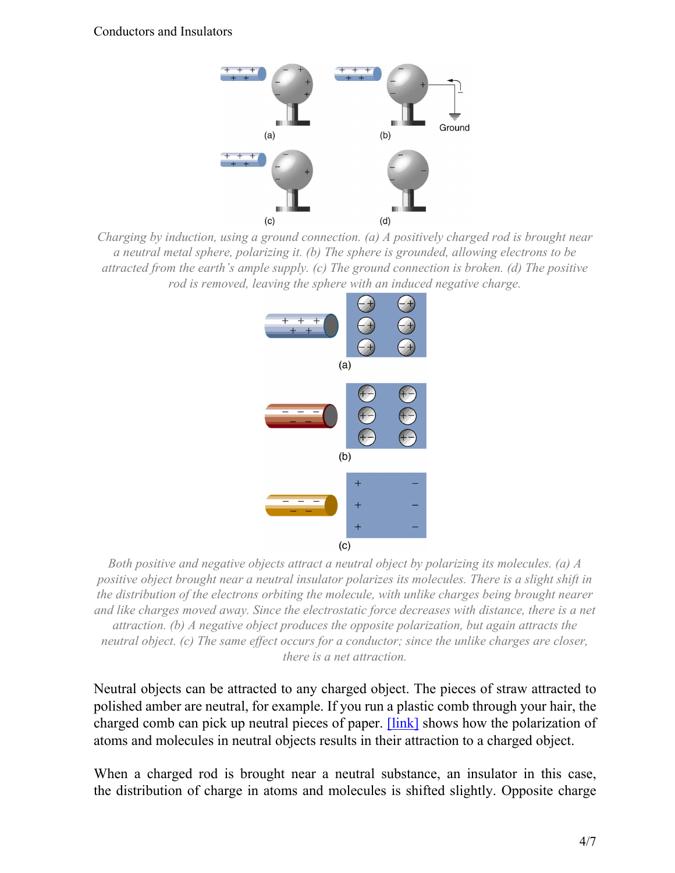

<span id="page-3-1"></span><span id="page-3-0"></span>*Charging by induction, using a ground connection. (a) A positively charged rod is brought near a neutral metal sphere, polarizing it. (b) The sphere is grounded, allowing electrons to be attracted from the earth's ample supply. (c) The ground connection is broken. (d) The positive rod is removed, leaving the sphere with an induced negative charge.*



*Both positive and negative objects attract a neutral object by polarizing its molecules. (a) A positive object brought near a neutral insulator polarizes its molecules. There is a slight shift in the distribution of the electrons orbiting the molecule, with unlike charges being brought nearer and like charges moved away. Since the electrostatic force decreases with distance, there is a net attraction. (b) A negative object produces the opposite polarization, but again attracts the neutral object. (c) The same effect occurs for a conductor; since the unlike charges are closer, there is a net attraction.*

Neutral objects can be attracted to any charged object. The pieces of straw attracted to polished amber are neutral, for example. If you run a plastic comb through your hair, the charged comb can pick up neutral pieces of paper. **[\[link\]](#page-3-1)** shows how the polarization of atoms and molecules in neutral objects results in their attraction to a charged object.

When a charged rod is brought near a neutral substance, an insulator in this case, the distribution of charge in atoms and molecules is shifted slightly. Opposite charge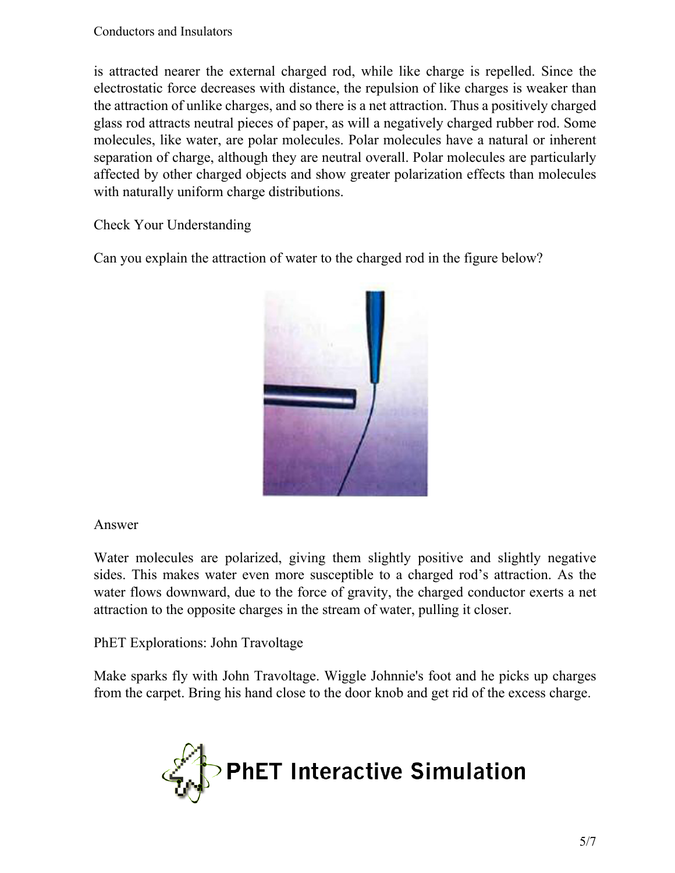#### Conductors and Insulators

is attracted nearer the external charged rod, while like charge is repelled. Since the electrostatic force decreases with distance, the repulsion of like charges is weaker than the attraction of unlike charges, and so there is a net attraction. Thus a positively charged glass rod attracts neutral pieces of paper, as will a negatively charged rubber rod. Some molecules, like water, are polar molecules. Polar molecules have a natural or inherent separation of charge, although they are neutral overall. Polar molecules are particularly affected by other charged objects and show greater polarization effects than molecules with naturally uniform charge distributions.

Check Your Understanding

Can you explain the attraction of water to the charged rod in the figure below?



#### Answer

Water molecules are polarized, giving them slightly positive and slightly negative sides. This makes water even more susceptible to a charged rod's attraction. As the water flows downward, due to the force of gravity, the charged conductor exerts a net attraction to the opposite charges in the stream of water, pulling it closer.

PhET Explorations: John Travoltage

Make sparks fly with John Travoltage. Wiggle Johnnie's foot and he picks up charges from the carpet. Bring his hand close to the door knob and get rid of the excess charge.

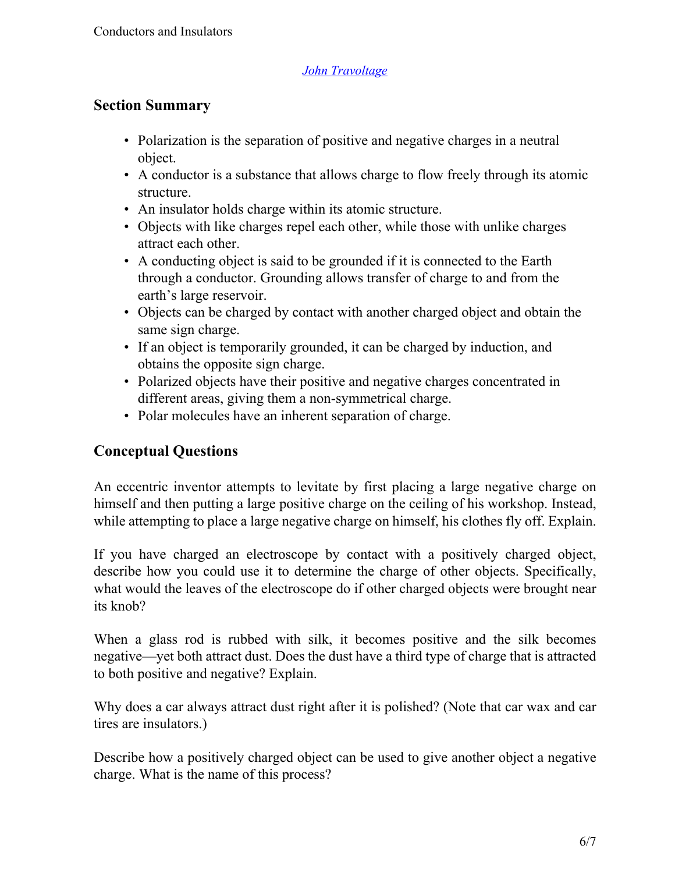#### *[John Travoltage](/home/voer/vp/vp.transformer/src/vpt.transformer/vpt/transformer/transforms/20140123-025134-8b85d594-1/travoltage_en.jar)*

### **Section Summary**

- Polarization is the separation of positive and negative charges in a neutral object.
- A conductor is a substance that allows charge to flow freely through its atomic structure.
- An insulator holds charge within its atomic structure.
- Objects with like charges repel each other, while those with unlike charges attract each other.
- A conducting object is said to be grounded if it is connected to the Earth through a conductor. Grounding allows transfer of charge to and from the earth's large reservoir.
- Objects can be charged by contact with another charged object and obtain the same sign charge.
- If an object is temporarily grounded, it can be charged by induction, and obtains the opposite sign charge.
- Polarized objects have their positive and negative charges concentrated in different areas, giving them a non-symmetrical charge.
- Polar molecules have an inherent separation of charge.

## **Conceptual Questions**

An eccentric inventor attempts to levitate by first placing a large negative charge on himself and then putting a large positive charge on the ceiling of his workshop. Instead, while attempting to place a large negative charge on himself, his clothes fly off. Explain.

If you have charged an electroscope by contact with a positively charged object, describe how you could use it to determine the charge of other objects. Specifically, what would the leaves of the electroscope do if other charged objects were brought near its knob?

When a glass rod is rubbed with silk, it becomes positive and the silk becomes negative—yet both attract dust. Does the dust have a third type of charge that is attracted to both positive and negative? Explain.

Why does a car always attract dust right after it is polished? (Note that car wax and car tires are insulators.)

Describe how a positively charged object can be used to give another object a negative charge. What is the name of this process?